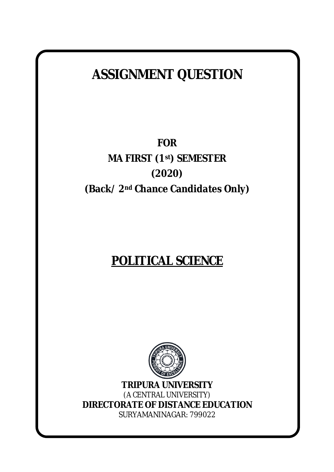# **ASSIGNMENT QUESTION**

**FOR MA FIRST (1st) SEMESTER (2020) (Back/ 2nd Chance Candidates Only)**

# **POLITICAL SCIENCE**



**TRIPURA UNIVERSITY** *(A CENTRAL UNIVERSITY)* **DIRECTORATE OF DISTANCE EDUCATION** SURYAMANINAGAR: 799022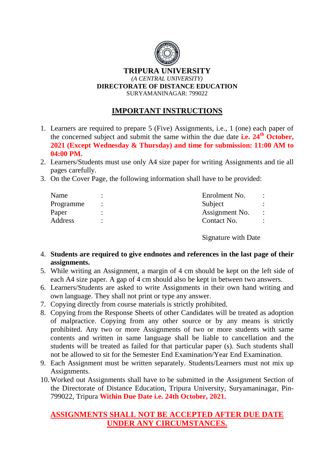

### **IMPORTANT INSTRUCTIONS**

- 1. Learners are required to prepare 5 (Five) Assignments, i.e., 1 (one) each paper of the concerned subject and submit the same within the due date **i.e. 24th October, 2021 (Except Wednesday & Thursday) and time for submission: 11:00 AM to 04:00 PM.**
- 2. Learners/Students must use only A4 size paper for writing Assignments and tie all pages carefully.
- 3. On the Cover Page, the following information shall have to be provided:

| Name               | Enrolment No.             | $\ddot{\cdot}$ |
|--------------------|---------------------------|----------------|
| Programme<br>Paper | Subject<br>Assignment No. | $\ddot{\cdot}$ |
| Address            | Contact No.               |                |

Signature with Date

- 4. **Students are required to give endnotes and references in the last page of their assignments.**
- 5. While writing an Assignment, a margin of 4 cm should be kept on the left side of each A4 size paper. A gap of 4 cm should also be kept in between two answers.
- 6. Learners/Students are asked to write Assignments in their own hand writing and own language. They shall not print or type any answer.
- 7. Copying directly from course materials is strictly prohibited.
- 8. Copying from the Response Sheets of other Candidates will be treated as adoption of malpractice. Copying from any other source or by any means is strictly prohibited. Any two or more Assignments of two or more students with same contents and written in same language shall be liable to cancellation and the students will be treated as failed for that particular paper (s). Such students shall not be allowed to sit for the Semester End Examination/Year End Examination.
- 9. Each Assignment must be written separately. Students/Learners must not mix up Assignments.
- 10.Worked out Assignments shall have to be submitted in the Assignment Section of the Directorate of Distance Education, Tripura University, Suryamaninagar, Pin-799022, Tripura **Within Due Date i.e. 24th October, 2021.**

### **ASSIGNMENTS SHALL NOT BE ACCEPTED AFTER DUE DATE UNDER ANY CIRCUMSTANCES.**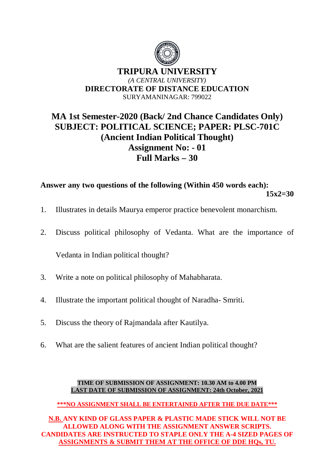

## **MA 1st Semester-2020 (Back/ 2nd Chance Candidates Only) SUBJECT: POLITICAL SCIENCE; PAPER: PLSC-701C (Ancient Indian Political Thought) Assignment No: - 01 Full Marks – 30**

**Answer any two questions of the following (Within 450 words each):**   $15x2=30$ 

- 1. Illustrates in details Maurya emperor practice benevolent monarchism.
- 2. Discuss political philosophy of Vedanta. What are the importance of

Vedanta in Indian political thought?

- 3. Write a note on political philosophy of Mahabharata.
- 4. Illustrate the important political thought of Naradha- Smriti.
- 5. Discuss the theory of Rajmandala after Kautilya.
- 6. What are the salient features of ancient Indian political thought?

#### **TIME OF SUBMISSION OF ASSIGNMENT: 10.30 AM to 4.00 PM LAST DATE OF SUBMISSION OF ASSIGNMENT: 24th October, 2021**

**\*\*\*NO ASSIGNMENT SHALL BE ENTERTAINED AFTER THE DUE DATE\*\*\***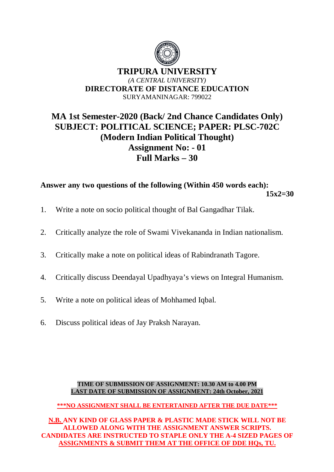

## **MA 1st Semester-2020 (Back/ 2nd Chance Candidates Only) SUBJECT: POLITICAL SCIENCE; PAPER: PLSC-702C (Modern Indian Political Thought) Assignment No: - 01 Full Marks – 30**

**Answer any two questions of the following (Within 450 words each):**   $15x2=30$ 

- 1. Write a note on socio political thought of Bal Gangadhar Tilak.
- 2. Critically analyze the role of Swami Vivekananda in Indian nationalism.
- 3. Critically make a note on political ideas of Rabindranath Tagore.
- 4. Critically discuss Deendayal Upadhyaya's views on Integral Humanism.
- 5. Write a note on political ideas of Mohhamed Iqbal.
- 6. Discuss political ideas of Jay Praksh Narayan.

#### **TIME OF SUBMISSION OF ASSIGNMENT: 10.30 AM to 4.00 PM LAST DATE OF SUBMISSION OF ASSIGNMENT: 24th October, 2021**

**\*\*\*NO ASSIGNMENT SHALL BE ENTERTAINED AFTER THE DUE DATE\*\*\***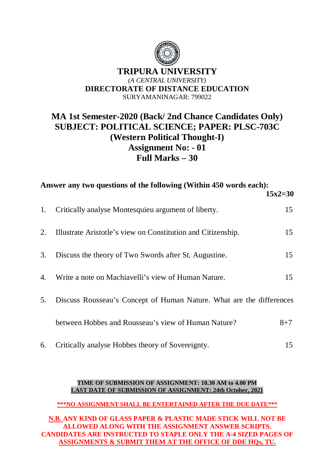

## **MA 1st Semester-2020 (Back/ 2nd Chance Candidates Only) SUBJECT: POLITICAL SCIENCE; PAPER: PLSC-703C (Western Political Thought-I) Assignment No: - 01 Full Marks – 30**

|    | Answer any two questions of the following (Within 450 words each):<br>$15x2=30$ |         |  |  |
|----|---------------------------------------------------------------------------------|---------|--|--|
| 1. | Critically analyse Montesquieu argument of liberty.                             | 15      |  |  |
| 2. | Illustrate Aristotle's view on Constitution and Citizenship.                    | 15      |  |  |
| 3. | Discuss the theory of Two Swords after St. Augustine.                           | 15      |  |  |
| 4. | Write a note on Machiavelli's view of Human Nature.                             | 15      |  |  |
| 5. | Discuss Rousseau's Concept of Human Nature. What are the differences            |         |  |  |
|    | between Hobbes and Rousseau's view of Human Nature?                             | $8 + 7$ |  |  |
| 6. | Critically analyse Hobbes theory of Sovereignty.                                | 15      |  |  |

#### **TIME OF SUBMISSION OF ASSIGNMENT: 10.30 AM to 4.00 PM LAST DATE OF SUBMISSION OF ASSIGNMENT: 24th October, 2021**

**\*\*\*NO ASSIGNMENT SHALL BE ENTERTAINED AFTER THE DUE DATE\*\*\***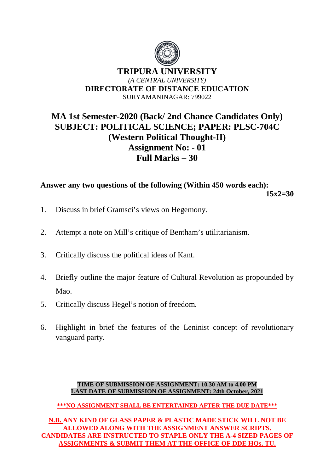

## **MA 1st Semester-2020 (Back/ 2nd Chance Candidates Only) SUBJECT: POLITICAL SCIENCE; PAPER: PLSC-704C (Western Political Thought-II) Assignment No: - 01 Full Marks – 30**

**Answer any two questions of the following (Within 450 words each):**   $15x2=30$ 

- 1. Discuss in brief Gramsci's views on Hegemony.
- 2. Attempt a note on Mill's critique of Bentham's utilitarianism.
- 3. Critically discuss the political ideas of Kant.
- 4. Briefly outline the major feature of Cultural Revolution as propounded by Mao.
- 5. Critically discuss Hegel's notion of freedom.
- 6. Highlight in brief the features of the Leninist concept of revolutionary vanguard party.

#### **TIME OF SUBMISSION OF ASSIGNMENT: 10.30 AM to 4.00 PM LAST DATE OF SUBMISSION OF ASSIGNMENT: 24th October, 2021**

**\*\*\*NO ASSIGNMENT SHALL BE ENTERTAINED AFTER THE DUE DATE\*\*\***